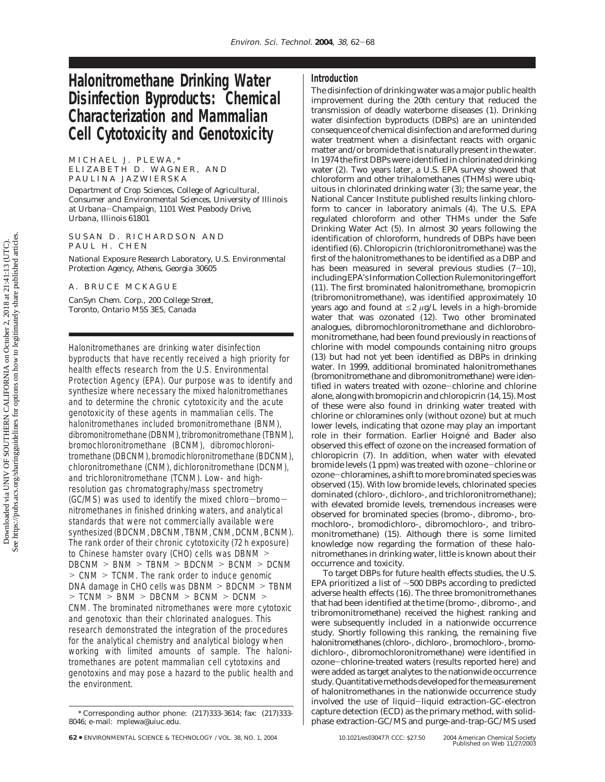# **Halonitromethane Drinking Water Disinfection Byproducts: Chemical Characterization and Mammalian Cell Cytotoxicity and Genotoxicity**

MICHAEL J. PLEWA,\* ELIZABETH D. WAGNER, AND

PAULINA JAZWIERSKA *Department of Crop Sciences, College of Agricultural, Consumer and Environmental Sciences, University of Illinois at Urbana*-*Champaign, 1101 West Peabody Drive, Urbana, Illinois 61801*

SUSAN D. RICHARDSON AND PAUL H. CHEN

*National Exposure Research Laboratory, U.S. Environmental Protection Agency, Athens, Georgia 30605*

A. BRUCE MCKAGUE

*CanSyn Chem. Corp., 200 College Street, Toronto, Ontario M5S 3E5, Canada*

Halonitromethanes are drinking water disinfection byproducts that have recently received a high priority for health effects research from the U.S. Environmental Protection Agency (EPA). Our purpose was to identify and synthesize where necessary the mixed halonitromethanes and to determine the chronic cytotoxicity and the acute genotoxicity of these agents in mammalian cells. The halonitromethanes included bromonitromethane (BNM), dibromonitromethane (DBNM), tribromonitromethane (TBNM), bromochloronitromethane (BCNM), dibromochloronitromethane (DBCNM), bromodichloronitromethane (BDCNM), chloronitromethane (CNM), dichloronitromethane (DCNM), and trichloronitromethane (TCNM). Low- and highresolution gas chromatography/mass spectrometry (GC/MS) was used to identify the mixed chloro-bromonitromethanes in finished drinking waters, and analytical standards that were not commercially available were synthesized (BDCNM, DBCNM, TBNM, CNM, DCNM, BCNM). The rank order of their chronic cytotoxicity (72 h exposure) to Chinese hamster ovary (CHO) cells was DBNM > DBCNM > BNM > TBNM > BDCNM > BCNM > DCNM > CNM > TCNM. The rank order to induce genomic DNA damage in CHO cells was DBNM > BDCNM > TBNM > TCNM > BNM > DBCNM > BCNM > DCNM > CNM. The brominated nitromethanes were more cytotoxic and genotoxic than their chlorinated analogues. This research demonstrated the integration of the procedures for the analytical chemistry and analytical biology when working with limited amounts of sample. The halonitromethanes are potent mammalian cell cytotoxins and genotoxins and may pose a hazard to the public health and the environment.

The disinfection of drinking water was a major public health improvement during the 20th century that reduced the transmission of deadly waterborne diseases (*1*). Drinking water disinfection byproducts (DBPs) are an unintended consequence of chemical disinfection and are formed during water treatment when a disinfectant reacts with organic matter and/or bromide that is naturally present in the water. In 1974 the first DBPs were identified in chlorinated drinking water (*2*). Two years later, a U.S. EPA survey showed that chloroform and other trihalomethanes (THMs) were ubiquitous in chlorinated drinking water (*3*); the same year, the National Cancer Institute published results linking chloroform to cancer in laboratory animals (*4*). The U.S. EPA regulated chloroform and other THMs under the Safe Drinking Water Act (*5*). In almost 30 years following the identification of chloroform, hundreds of DBPs have been identified (*6*). Chloropicrin (trichloronitromethane) was the first of the halonitromethanes to be identified as a DBP and has been measured in several previous studies (*7*-*10*), including EPA's Information Collection Rule monitoring effort (*11*). The first brominated halonitromethane, bromopicrin (tribromonitromethane), was identified approximately 10 years ago and found at  $\leq 2 \mu g/L$  levels in a high-bromide water that was ozonated (*12*). Two other brominated analogues, dibromochloronitromethane and dichlorobromonitromethane, had been found previously in reactions of chlorine with model compounds containing nitro groups (*13*) but had not yet been identified as DBPs in drinking water. In 1999, additional brominated halonitromethanes (bromonitromethane and dibromonitromethane) were identified in waters treated with ozone-chlorine and chlorine alone, along with bromopicrin and chloropicrin (*14*, *15*). Most of these were also found in drinking water treated with chlorine or chloramines only (without ozone) but at much lower levels, indicating that ozone may play an important role in their formation. Earlier Hoigné and Bader also observed this effect of ozone on the increased formation of chloropicrin (*7*). In addition, when water with elevated bromide levels (1 ppm) was treated with ozone-chlorine or ozone-chloramines, a shift to more brominated species was observed (*15*). With low bromide levels, chlorinated species dominated (chloro-, dichloro-, and trichloronitromethane); with elevated bromide levels, tremendous increases were observed for brominated species (bromo-, dibromo-, bromochloro-, bromodichloro-, dibromochloro-, and tribromonitromethane) (*15*). Although there is some limited knowledge now regarding the formation of these halonitromethanes in drinking water, little is known about their occurrence and toxicity.

To target DBPs for future health effects studies, the U.S. EPA prioritized a list of ∼500 DBPs according to predicted adverse health effects (*16*). The three bromonitromethanes that had been identified at the time (bromo-, dibromo-, and tribromonitromethane) received the highest ranking and were subsequently included in a nationwide occurrence study. Shortly following this ranking, the remaining five halonitromethanes (chloro-, dichloro-, bromochloro-, bromodichloro-, dibromochloronitromethane) were identified in ozone-chlorine-treated waters (results reported here) and were added as target analytes to the nationwide occurrence study. Quantitative methods developed for the measurement of halonitromethanes in the nationwide occurrence study involved the use of liquid-liquid extraction-GC-electron capture detection (ECD) as the primary method, with solidphase extraction-GC/MS and purge-and-trap-GC/MS used

<sup>\*</sup> Corresponding author phone: (217)333-3614; fax: (217)333- 8046; e-mail: mplewa@uiuc.edu.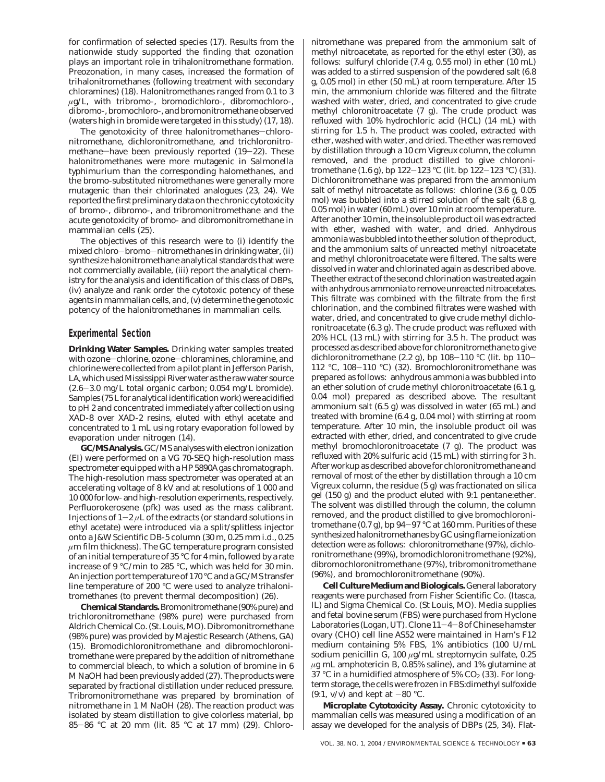for confirmation of selected species (*17*). Results from the nationwide study supported the finding that ozonation plays an important role in trihalonitromethane formation. Preozonation, in many cases, increased the formation of trihalonitromethanes (following treatment with secondary chloramines) (*18*). Halonitromethanes ranged from 0.1 to 3 *µ*g/L, with tribromo-, bromodichloro-, dibromochloro-, dibromo-, bromochloro-, and bromonitromethane observed (waters high in bromide were targeted in this study) (*17*, *18*).

The genotoxicity of three halonitromethanes-chloronitromethane, dichloronitromethane, and trichloronitromethane-have been previously reported (19-22). These halonitromethanes were more mutagenic in *Salmonella typhimurium* than the corresponding halomethanes, and the bromo-substituted nitromethanes were generally more mutagenic than their chlorinated analogues (*23*, *24*). We reported the first preliminary data on the chronic cytotoxicity of bromo-, dibromo-, and tribromonitromethane and the acute genotoxicity of bromo- and dibromonitromethane in mammalian cells (*25*).

The objectives of this research were to (i) identify the mixed chloro-bromo-nitromethanes in drinking water, (ii) synthesize halonitromethane analytical standards that were not commercially available, (iii) report the analytical chemistry for the analysis and identification of this class of DBPs, (iv) analyze and rank order the cytotoxic potency of these agents in mammalian cells, and, (v) determine the genotoxic potency of the halonitromethanes in mammalian cells.

## **Experimental Section**

**Drinking Water Samples.** Drinking water samples treated with ozone-chlorine, ozone-chloramines, chloramine, and chlorine were collected from a pilot plant in Jefferson Parish, LA, which used Mississippi River water as the raw water source (2.6-3.0 mg/L total organic carbon; 0.054 mg/L bromide). Samples (75 L for analytical identification work) were acidified to pH 2 and concentrated immediately after collection using XAD-8 over XAD-2 resins, eluted with ethyl acetate and concentrated to 1 mL using rotary evaporation followed by evaporation under nitrogen (*14*).

**GC/MS Analysis.**GC/MS analyses with electron ionization (EI) were performed on a VG 70-SEQ high-resolution mass spectrometer equipped with a HP 5890A gas chromatograph. The high-resolution mass spectrometer was operated at an accelerating voltage of 8 kV and at resolutions of 1 000 and 10 000 for low- and high-resolution experiments, respectively. Perfluorokerosene (pfk) was used as the mass calibrant. Injections of  $1-2 \mu L$  of the extracts (or standard solutions in ethyl acetate) were introduced via a split/splitless injector onto a J&W Scientific DB-5 column (30 m, 0.25 mm i.d., 0.25 *µ*m film thickness). The GC temperature program consisted of an initial temperature of 35 °C for 4 min, followed by a rate increase of 9 °C/min to 285 °C, which was held for 30 min. An injection port temperature of 170 °C and a GC/MS transfer line temperature of 200 °C were used to analyze trihalonitromethanes (to prevent thermal decomposition) (*26*).

**Chemical Standards.**Bromonitromethane (90% pure) and trichloronitromethane (98% pure) were purchased from Aldrich Chemical Co. (St. Louis, MO). Dibromonitromethane (98% pure) was provided by Majestic Research (Athens, GA) (*15*)*.* Bromodichloronitromethane and dibromochloronitromethane were prepared by the addition of nitromethane to commercial bleach, to which a solution of bromine in 6 M NaOH had been previously added (*27*). The products were separated by fractional distillation under reduced pressure. Tribromonitromethane was prepared by bromination of nitromethane in 1 M NaOH (*28*). The reaction product was isolated by steam distillation to give colorless material, bp <sup>85</sup>-<sup>86</sup> °C at 20 mm (lit. 85 °C at 17 mm) (*29*). Chloronitromethane was prepared from the ammonium salt of methyl nitroacetate, as reported for the ethyl ester (*30*), as follows: sulfuryl chloride (7.4 g, 0.55 mol) in ether (10 mL) was added to a stirred suspension of the powdered salt (6.8 g, 0.05 mol) in ether (50 mL) at room temperature. After 15 min, the ammonium chloride was filtered and the filtrate washed with water, dried, and concentrated to give crude methyl chloronitroacetate (7 g). The crude product was refluxed with 10% hydrochloric acid (HCL) (14 mL) with stirring for 1.5 h. The product was cooled, extracted with ether, washed with water, and dried. The ether was removed by distillation through a 10 cm Vigreux column, the column removed, and the product distilled to give chloronitromethane (1.6 g), bp 122-<sup>123</sup> °C (lit. bp 122-<sup>123</sup> °C) (*31*). Dichloronitromethane was prepared from the ammonium salt of methyl nitroacetate as follows: chlorine (3.6 g, 0.05 mol) was bubbled into a stirred solution of the salt (6.8 g, 0.05 mol) in water (60 mL) over 10 min at room temperature. After another 10 min, the insoluble product oil was extracted with ether, washed with water, and dried. Anhydrous ammonia was bubbled into the ether solution of the product, and the ammonium salts of unreacted methyl nitroacetate and methyl chloronitroacetate were filtered. The salts were dissolved in water and chlorinated again as described above. The ether extract of the second chlorination was treated again with anhydrous ammonia to remove unreacted nitroacetates. This filtrate was combined with the filtrate from the first chlorination, and the combined filtrates were washed with water, dried, and concentrated to give crude methyl dichloronitroacetate (6.3 g). The crude product was refluxed with 20% HCL (13 mL) with stirring for 3.5 h. The product was processed as described above for chloronitromethane to give dichloronitromethane (2.2 g), bp 108-110 °C (lit. bp 110-<sup>112</sup> °C, 108-<sup>110</sup> °C) (*32*). Bromochloronitromethane was prepared as follows: anhydrous ammonia was bubbled into an ether solution of crude methyl chloronitroacetate (6.1 g, 0.04 mol) prepared as described above. The resultant ammonium salt (6.5 g) was dissolved in water (65 mL) and treated with bromine (6.4 g, 0.04 mol) with stirring at room temperature. After 10 min, the insoluble product oil was extracted with ether, dried, and concentrated to give crude methyl bromochloronitroacetate (7 g). The product was refluxed with 20% sulfuric acid (15 mL) with stirring for 3 h. After workup as described above for chloronitromethane and removal of most of the ether by distillation through a 10 cm Vigreux column, the residue (5 g) was fractionated on silica gel (150 g) and the product eluted with 9:1 pentane:ether. The solvent was distilled through the column, the column removed, and the product distilled to give bromochloronitromethane (0.7 g), bp 94-97 °C at 160 mm. Purities of these synthesized halonitromethanes by GC using flame ionization detection were as follows: chloronitromethane (97%), dichloronitromethane (99%), bromodichloronitromethane (92%), dibromochloronitromethane (97%), tribromonitromethane (96%), and bromochloronitromethane (90%).

**Cell Culture Medium and Biologicals.** General laboratory reagents were purchased from Fisher Scientific Co. (Itasca, IL) and Sigma Chemical Co. (St Louis, MO). Media supplies and fetal bovine serum (FBS) were purchased from Hyclone Laboratories (Logan, UT). Clone 11-4-8 of Chinese hamster ovary (CHO) cell line AS52 were maintained in Ham's F12 medium containing 5% FBS, 1% antibiotics (100 U/mL sodium penicillin G, 100 *µ*g/mL streptomycin sulfate, 0.25 *µ*g mL amphotericin B, 0.85% saline), and 1% glutamine at 37 °C in a humidified atmosphere of 5% CO<sub>2</sub> (33). For longterm storage, the cells were frozen in FBS:dimethyl sulfoxide (9:1, v/v) and kept at  $-80$  °C.

**Microplate Cytotoxicity Assay.** Chronic cytotoxicity to mammalian cells was measured using a modification of an assay we developed for the analysis of DBPs (*25*, *34*). Flat-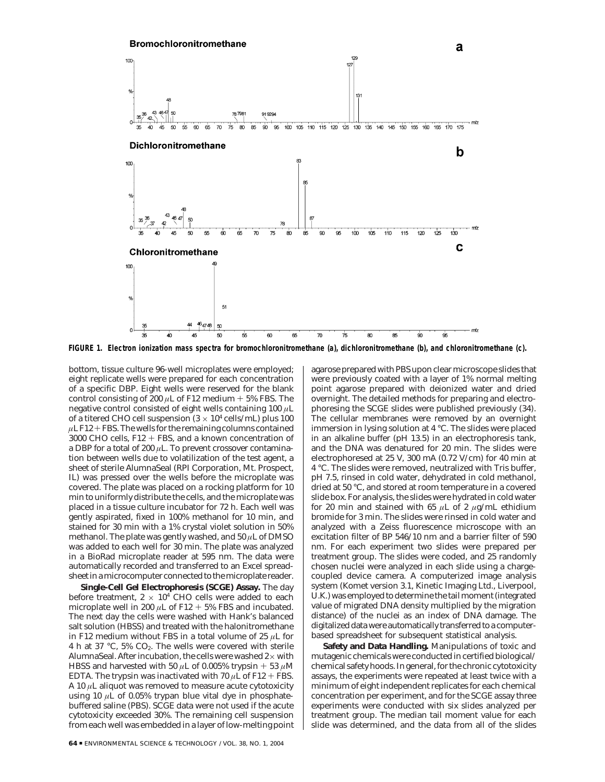

**FIGURE 1. Electron ionization mass spectra for bromochloronitromethane (a), dichloronitromethane (b), and chloronitromethane (c).**

bottom, tissue culture 96-well microplates were employed; eight replicate wells were prepared for each concentration of a specific DBP. Eight wells were reserved for the blank control consisting of 200  $\mu$ L of F12 medium  $+$  5% FBS. The negative control consisted of eight wells containing 100 *µ*L of a titered CHO cell suspension  $(3 \times 10^4 \text{ cells/mL})$  plus 100  $\mu$ L F12 + FBS. The wells for the remaining columns contained 3000 CHO cells, F12 + FBS, and a known concentration of a DBP for a total of 200 *µ*L. To prevent crossover contamination between wells due to volatilization of the test agent, a sheet of sterile AlumnaSeal (RPI Corporation, Mt. Prospect, IL) was pressed over the wells before the microplate was covered. The plate was placed on a rocking platform for 10 min to uniformly distribute the cells, and the microplate was placed in a tissue culture incubator for 72 h. Each well was gently aspirated, fixed in 100% methanol for 10 min, and stained for 30 min with a 1% crystal violet solution in 50% methanol. The plate was gently washed, and 50 *µ*L of DMSO was added to each well for 30 min. The plate was analyzed in a BioRad microplate reader at 595 nm. The data were automatically recorded and transferred to an Excel spreadsheet in a microcomputer connected to the microplate reader.

**Single-Cell Gel Electrophoresis (SCGE) Assay.** The day before treatment,  $2 \times 10^4$  CHO cells were added to each microplate well in 200  $\mu$ L of F12 + 5% FBS and incubated. The next day the cells were washed with Hank's balanced salt solution (HBSS) and treated with the halonitromethane in F12 medium without FBS in a total volume of 25 *µ*L for 4 h at 37 °C, 5%  $CO<sub>2</sub>$ . The wells were covered with sterile AlumnaSeal. After incubation, the cells were washed  $2\times$  with HBSS and harvested with 50  $\mu$ L of 0.005% trypsin + 53  $\mu$ M EDTA. The trypsin was inactivated with 70  $\mu$ L of F12 + FBS. A 10 *µ*L aliquot was removed to measure acute cytotoxicity using 10  $\mu$ L of 0.05% trypan blue vital dye in phosphatebuffered saline (PBS). SCGE data were not used if the acute cytotoxicity exceeded 30%. The remaining cell suspension from each well was embedded in a layer of low-melting point

agarose prepared with PBS upon clear microscope slides that were previously coated with a layer of 1% normal melting point agarose prepared with deionized water and dried overnight. The detailed methods for preparing and electrophoresing the SCGE slides were published previously (*34*). The cellular membranes were removed by an overnight immersion in lysing solution at 4 °C. The slides were placed in an alkaline buffer (pH 13.5) in an electrophoresis tank, and the DNA was denatured for 20 min. The slides were electrophoresed at 25 V, 300 mA (0.72 V/cm) for 40 min at 4 °C. The slides were removed, neutralized with Tris buffer, pH 7.5, rinsed in cold water, dehydrated in cold methanol, dried at 50 °C, and stored at room temperature in a covered slide box. For analysis, the slides were hydrated in cold water for 20 min and stained with 65  $\mu$ L of 2  $\mu$ g/mL ethidium bromide for 3 min. The slides were rinsed in cold water and analyzed with a Zeiss fluorescence microscope with an excitation filter of BP 546/10 nm and a barrier filter of 590 nm. For each experiment two slides were prepared per treatment group. The slides were coded, and 25 randomly chosen nuclei were analyzed in each slide using a chargecoupled device camera. A computerized image analysis system (Komet version 3.1, Kinetic Imaging Ltd., Liverpool, U.K.) was employed to determine the tail moment (integrated value of migrated DNA density multiplied by the migration distance) of the nuclei as an index of DNA damage. The digitalized data were automatically transferred to a computerbased spreadsheet for subsequent statistical analysis.

**Safety and Data Handling.** Manipulations of toxic and mutagenic chemicals were conducted in certified biological/ chemical safety hoods. In general, for the chronic cytotoxicity assays, the experiments were repeated at least twice with a minimum of eight independent replicates for each chemical concentration per experiment, and for the SCGE assay three experiments were conducted with six slides analyzed per treatment group. The median tail moment value for each slide was determined, and the data from all of the slides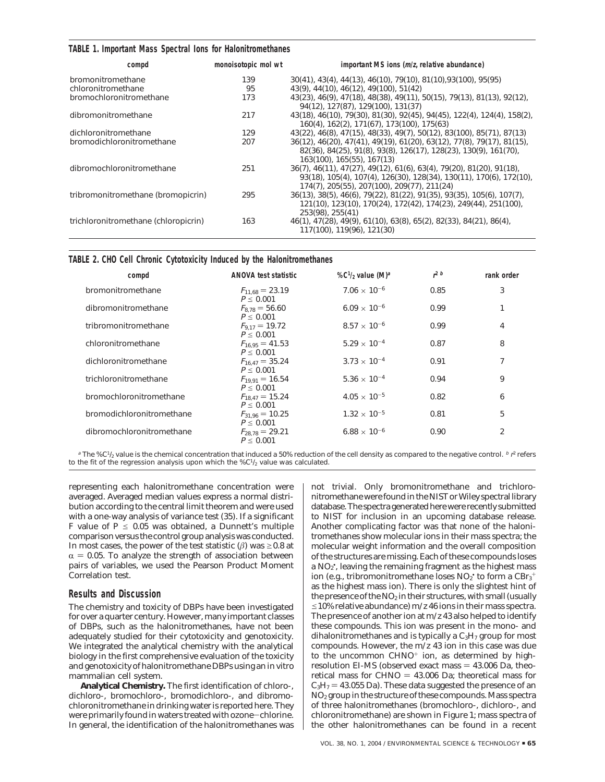#### **TABLE 1. Important Mass Spectral Ions for Halonitromethanes**

| compd                                | monoisotopic mol wt | important MS ions (m/z, relative abundance)                                                                                                                                                |
|--------------------------------------|---------------------|--------------------------------------------------------------------------------------------------------------------------------------------------------------------------------------------|
| bromonitromethane                    | 139                 | 30(41), 43(4), 44(13), 46(10), 79(10), 81(10), 93(100), 95(95)                                                                                                                             |
| chloronitromethane                   | 95                  | 43(9), 44(10), 46(12), 49(100), 51(42)                                                                                                                                                     |
| bromochloronitromethane              | 173                 | 43(23), 46(9), 47(18), 48(38), 49(11), 50(15), 79(13), 81(13), 92(12),<br>94(12), 127(87), 129(100), 131(37)                                                                               |
| dibromonitromethane                  | 217                 | 43(18), 46(10), 79(30), 81(30), 92(45), 94(45), 122(4), 124(4), 158(2),<br>160(4), 162(2), 171(67), 173(100), 175(63)                                                                      |
| dichloronitromethane                 | 129                 | 43(22), 46(8), 47(15), 48(33), 49(7), 50(12), 83(100), 85(71), 87(13)                                                                                                                      |
| bromodichloronitromethane            | 207                 | 36(12), 46(20), 47(41), 49(19), 61(20), 63(12), 77(8), 79(17), 81(15),<br>82(36), 84(25), 91(8), 93(8), 126(17), 128(23), 130(9), 161(70),<br>163(100), 165(55), 167(13)                   |
| dibromochloronitromethane            | 251                 | 36(7), 46(11), 47(27), 49(12), 61(6), 63(4), 79(20), 81(20), 91(18),<br>93(18), 105(4), 107(4), 126(30), 128(34), 130(11), 170(6), 172(10),<br>174(7), 205(55), 207(100), 209(77), 211(24) |
| tribromonitromethane (bromopicrin)   | 295                 | 36(13), 38(5), 46(6), 79(22), 81(22), 91(35), 93(35), 105(6), 107(7),<br>121(10), 123(10), 170(24), 172(42), 174(23), 249(44), 251(100),<br>253(98), 255(41)                               |
| trichloronitromethane (chloropicrin) | 163                 | 46(1), 47(28), 49(9), 61(10), 63(8), 65(2), 82(33), 84(21), 86(4),<br>117(100), 119(96), 121(30)                                                                                           |

| TABLE 2. CHO Cell Chronic Cytotoxicity Induced by the Halonitromethanes |  |
|-------------------------------------------------------------------------|--|
|-------------------------------------------------------------------------|--|

| compd                     | <b>ANOVA test statistic</b>          | %C <sup>1</sup> / <sub>2</sub> value (M) <sup>a</sup> | $r^2$ b | rank order     |
|---------------------------|--------------------------------------|-------------------------------------------------------|---------|----------------|
| bromonitromethane         | $F_{11.68} = 23.19$<br>$P \le 0.001$ | $7.06 \times 10^{-6}$                                 | 0.85    | 3              |
| dibromonitromethane       | $F_{8,78} = 56.60$<br>$P \le 0.001$  | $6.09 \times 10^{-6}$                                 | 0.99    |                |
| tribromonitromethane      | $F_{9.17} = 19.72$<br>$P \le 0.001$  | $8.57 \times 10^{-6}$                                 | 0.99    | $\overline{4}$ |
| chloronitromethane        | $F_{16.95} = 41.53$<br>$P \le 0.001$ | $5.29 \times 10^{-4}$                                 | 0.87    | 8              |
| dichloronitromethane      | $F_{16.47} = 35.24$<br>$P \le 0.001$ | $3.73 \times 10^{-4}$                                 | 0.91    | 7              |
| trichloronitromethane     | $F_{19.91} = 16.54$<br>$P \le 0.001$ | 5.36 $\times$ 10 <sup>-4</sup>                        | 0.94    | 9              |
| bromochloronitromethane   | $F_{18.47} = 15.24$<br>$P \le 0.001$ | $4.05 \times 10^{-5}$                                 | 0.82    | 6              |
| bromodichloronitromethane | $F_{31.96} = 10.25$<br>$P \le 0.001$ | $1.32 \times 10^{-5}$                                 | 0.81    | 5              |
| dibromochloronitromethane | $F_{28,78} = 29.21$<br>$P \le 0.001$ | $6.88 \times 10^{-6}$                                 | 0.90    | 2              |

 $^a$  The %C½ value is the chemical concentration that induced a 50% reduction of the cell density as compared to the negative control.  $^b$   $\vec r^2$  refers to the fit of the regression analysis upon which the  $\%C^{1/2}$  value was calculated.

representing each halonitromethane concentration were averaged. Averaged median values express a normal distribution according to the central limit theorem and were used with a one-way analysis of variance test (*35*). If a significant *F* value of  $P \le 0.05$  was obtained, a Dunnett's multiple comparison versus the control group analysis was conducted. In most cases, the power of the test statistic  $(\beta)$  was  $\geq 0.8$  at  $\alpha$  = 0.05. To analyze the strength of association between pairs of variables, we used the Pearson Product Moment Correlation test.

## **Results and Discussion**

The chemistry and toxicity of DBPs have been investigated for over a quarter century. However, many important classes of DBPs, such as the halonitromethanes, have not been adequately studied for their cytotoxicity and genotoxicity. We integrated the analytical chemistry with the analytical biology in the first comprehensive evaluation of the toxicity and genotoxicity of halonitromethane DBPs using an in vitro mammalian cell system.

**Analytical Chemistry.** The first identification of chloro-, dichloro-, bromochloro-, bromodichloro-, and dibromochloronitromethane in drinking water is reported here. They were primarily found in waters treated with ozone-chlorine. In general, the identification of the halonitromethanes was

not trivial. Only bromonitromethane and trichloronitromethane were found in the NIST or Wiley spectral library database. The spectra generated here were recently submitted to NIST for inclusion in an upcoming database release. Another complicating factor was that none of the halonitromethanes show molecular ions in their mass spectra; the molecular weight information and the overall composition of the structures are missing. Each of these compounds loses a NO2 • , leaving the remaining fragment as the highest mass ion (e.g., tribromonitromethane loses NO2 $^{\centerdot}$  to form a  $\rm {CBr_3^+}$ as the highest mass ion). There is only the slightest hint of the presence of the  $NO<sub>2</sub>$  in their structures, with small (usually  $\leq$ 10% relative abundance) *m*/*z* 46 ions in their mass spectra. The presence of another ion at *m*/*z* 43 also helped to identify these compounds. This ion was present in the mono- and dihalonitromethanes and is typically a  $C_3H_7$  group for most compounds. However, the *m*/*z* 43 ion in this case was due to the uncommon  $CHNO<sup>+</sup>$  ion, as determined by highresolution EI-MS (observed exact mass  $= 43.006$  Da, theoretical mass for  $CHNO = 43.006$  Da; theoretical mass for  $C_3H_7 = 43.055$  Da). These data suggested the presence of an NO2 group in the structure of these compounds. Mass spectra of three halonitromethanes (bromochloro-, dichloro-, and chloronitromethane) are shown in Figure 1; mass spectra of the other halonitromethanes can be found in a recent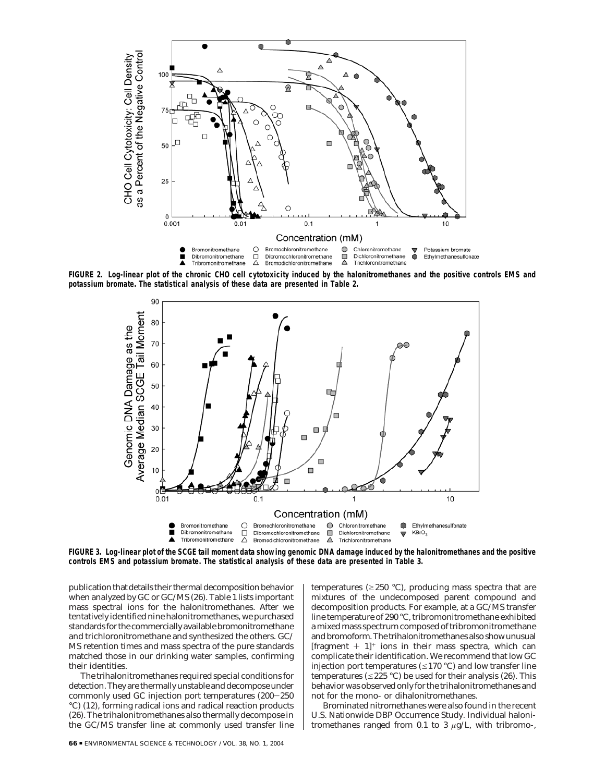

**FIGURE 2. Log-linear plot of the chronic CHO cell cytotoxicity induced by the halonitromethanes and the positive controls EMS and potassium bromate. The statistical analysis of these data are presented in Table 2.**



**FIGURE 3. Log-linear plot of the SCGE tail moment data showing genomic DNA damage induced by the halonitromethanes and the positive controls EMS and potassium bromate. The statistical analysis of these data are presented in Table 3.**

publication that details their thermal decomposition behavior when analyzed by GC or GC/MS (*26*). Table 1 lists important mass spectral ions for the halonitromethanes. After we tentatively identified nine halonitromethanes, we purchased standards for the commercially available bromonitromethane and trichloronitromethane and synthesized the others. GC/ MS retention times and mass spectra of the pure standards matched those in our drinking water samples, confirming their identities.

The trihalonitromethanes required special conditions for detection. They are thermally unstable and decompose under commonly used GC injection port temperatures (200-<sup>250</sup> °C) (*12*), forming radical ions and radical reaction products (*26*). The trihalonitromethanes also thermally decompose in the GC/MS transfer line at commonly used transfer line

temperatures ( $\geq$ 250 °C), producing mass spectra that are mixtures of the undecomposed parent compound and decomposition products. For example, at a GC/MS transfer line temperature of 290 °C, tribromonitromethane exhibited a mixed mass spectrum composed of tribromonitromethane and bromoform. The trihalonitromethanes also show unusual [fragment  $+1$ ]<sup>+</sup> ions in their mass spectra, which can complicate their identification. We recommend that low GC injection port temperatures ( $\leq$ 170 °C) and low transfer line temperatures ( $\leq$ 225 °C) be used for their analysis (26). This behavior was observed only for the trihalonitromethanes and not for the mono- or dihalonitromethanes.

Brominated nitromethanes were also found in the recent U.S. Nationwide DBP Occurrence Study. Individual halonitromethanes ranged from 0.1 to 3 *µ*g/L, with tribromo-,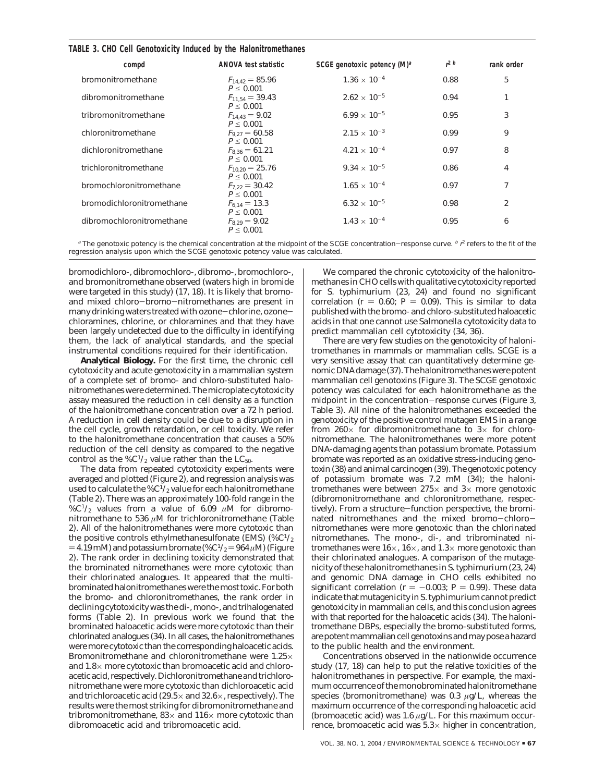## **TABLE 3. CHO Cell Genotoxicity Induced by the Halonitromethanes**

| compd                     | ANOVA test statistic                 | SCGE genotoxic potency $(M)^a$ | $r^2$ b | rank order |
|---------------------------|--------------------------------------|--------------------------------|---------|------------|
| bromonitromethane         | $F_{14.42} = 85.96$<br>$P \le 0.001$ | $1.36 \times 10^{-4}$          | 0.88    | 5          |
| dibromonitromethane       | $F_{11.54} = 39.43$<br>$P \le 0.001$ | $2.62 \times 10^{-5}$          | 0.94    |            |
| tribromonitromethane      | $F_{14.43} = 9.02$<br>$P \le 0.001$  | $6.99 \times 10^{-5}$          | 0.95    | 3          |
| chloronitromethane        | $F_{9.27} = 60.58$<br>$P \le 0.001$  | $2.15 \times 10^{-3}$          | 0.99    | 9          |
| dichloronitromethane      | $F_{8,36} = 61.21$<br>$P \le 0.001$  | $4.21 \times 10^{-4}$          | 0.97    | 8          |
| trichloronitromethane     | $F_{10,20} = 25.76$<br>$P \le 0.001$ | $9.34 \times 10^{-5}$          | 0.86    | 4          |
| bromochloronitromethane   | $F_{7,22} = 30.42$<br>$P \le 0.001$  | $1.65 \times 10^{-4}$          | 0.97    | 7          |
| bromodichloronitromethane | $F_{6.14} = 13.3$<br>$P \le 0.001$   | $6.32 \times 10^{-5}$          | 0.98    | 2          |
| dibromochloronitromethane | $F_{8,29} = 9.02$<br>$P \le 0.001$   | $1.43 \times 10^{-4}$          | 0.95    | 6          |

<sup>a</sup> The genotoxic potency is the chemical concentration at the midpoint of the SCGE concentration-response curve. <sup>b</sup> r<sup>2</sup> refers to the fit of the<br>Iression analysis upon which the SCGE genotoxic potency value was calculat regression analysis upon which the SCGE genotoxic potency value was calculated.

bromodichloro-, dibromochloro-, dibromo-, bromochloro-, and bromonitromethane observed (waters high in bromide were targeted in this study) (*17*, *18*). It is likely that bromoand mixed chloro-bromo-nitromethanes are present in many drinking waters treated with ozone-chlorine, ozonechloramines, chlorine, or chloramines and that they have been largely undetected due to the difficulty in identifying them, the lack of analytical standards, and the special instrumental conditions required for their identification.

**Analytical Biology.** For the first time, the chronic cell cytotoxicity and acute genotoxicity in a mammalian system of a complete set of bromo- and chloro-substituted halonitromethanes were determined. The microplate cytotoxicity assay measured the reduction in cell density as a function of the halonitromethane concentration over a 72 h period. A reduction in cell density could be due to a disruption in the cell cycle, growth retardation, or cell toxicity. We refer to the halonitromethane concentration that causes a 50% reduction of the cell density as compared to the negative control as the  $\%C^{1/2}$  value rather than the LC<sub>50</sub>.

The data from repeated cytotoxicity experiments were averaged and plotted (Figure 2), and regression analysis was used to calculate the  $\%C^{1/2}$  value for each halonitromethane (Table 2). There was an approximately 100-fold range in the %C<sup>1</sup>/<sub>2</sub> values from a value of 6.09  $\mu$ M for dibromonitromethane to 536 *µ*M for trichloronitromethane (Table 2). All of the halonitromethanes were more cytotoxic than the positive controls ethylmethanesulfonate (EMS) (% $C^{1/2}$ )  $=4.19$  mM) and potassium bromate (%C<sup>1</sup>/<sub>2</sub> $=964 \mu$ M) (Figure 2). The rank order in declining toxicity demonstrated that the brominated nitromethanes were more cytotoxic than their chlorinated analogues. It appeared that the multibrominated halonitromethanes were the most toxic. For both the bromo- and chloronitromethanes, the rank order in declining cytotoxicity was the di-, mono-, and trihalogenated forms (Table 2). In previous work we found that the brominated haloacetic acids were more cytotoxic than their chlorinated analogues (*34*). In all cases, the halonitromethanes were more cytotoxic than the corresponding haloacetic acids. Bromonitromethane and chloronitromethane were 1.25× and 1.8× more cytotoxic than bromoacetic acid and chloroacetic acid, respectively. Dichloronitromethane and trichloronitromethane were more cytotoxic than dichloroacetic acid and trichloroacetic acid (29.5 $\times$  and 32.6 $\times$ , respectively). The results were the most striking for dibromonitromethane and tribromonitromethane,  $83 \times$  and  $116 \times$  more cytotoxic than dibromoacetic acid and tribromoacetic acid.

We compared the chronic cytotoxicity of the halonitromethanes in CHO cells with qualitative cytotoxicity reported for *S. typhimurium* (*23*, *24*) and found no significant correlation ( $r = 0.60$ ;  $P = 0.09$ ). This is similar to data published with the bromo- and chloro-substituted haloacetic acids in that one cannot use *Salmonella* cytotoxicity data to predict mammalian cell cytotoxicity (*34*, *36*).

There are very few studies on the genotoxicity of halonitromethanes in mammals or mammalian cells. SCGE is a very sensitive assay that can quantitatively determine genomic DNA damage (*37*). The halonitromethanes were potent mammalian cell genotoxins (Figure 3). The SCGE genotoxic potency was calculated for each halonitromethane as the midpoint in the concentration-response curves (Figure 3, Table 3). All nine of the halonitromethanes exceeded the genotoxicity of the positive control mutagen EMS in a range from 260 $\times$  for dibromonitromethane to 3 $\times$  for chloronitromethane. The halonitromethanes were more potent DNA-damaging agents than potassium bromate. Potassium bromate was reported as an oxidative stress-inducing genotoxin (*38*) and animal carcinogen (*39*). The genotoxic potency of potassium bromate was 7.2 mM (*34*); the halonitromethanes were between  $275\times$  and  $3\times$  more genotoxic (dibromonitromethane and chloronitromethane, respectively). From a structure-function perspective, the brominated nitromethanes and the mixed bromo-chloronitromethanes were more genotoxic than the chlorinated nitromethanes. The mono-, di-, and tribrominated nitromethanes were  $16\times$ ,  $16\times$ , and  $1.3\times$  more genotoxic than their chlorinated analogues. A comparison of the mutagenicity of these halonitromethanes in *S. typhimurium* (*23*, *24*) and genomic DNA damage in CHO cells exhibited no significant correlation ( $r = -0.003$ ;  $P = 0.99$ ). These data significant correlation (*r* = -0.003; *P* = 0.99). These data<br>indicate that mutagenicity in *S. typhimurium* cannot predict genotoxicity in mammalian cells, and this conclusion agrees with that reported for the haloacetic acids (*34*). The halonitromethane DBPs, especially the bromo-substituted forms, are potent mammalian cell genotoxins and may pose a hazard to the public health and the environment.

Concentrations observed in the nationwide occurrence study (*17*, *18*) can help to put the relative toxicities of the halonitromethanes in perspective. For example, the maximum occurrence of the monobrominated halonitromethane species (bromonitromethane) was 0.3 *µ*g/L, whereas the maximum occurrence of the corresponding haloacetic acid (bromoacetic acid) was 1.6 *µ*g/L. For this maximum occurrence, bromoacetic acid was  $5.3\times$  higher in concentration,